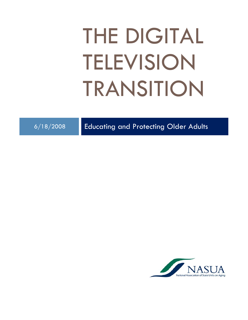# THE DIGITAL TELEVISION TRANSITION

6/18/2008 Educating and Protecting Older Adults

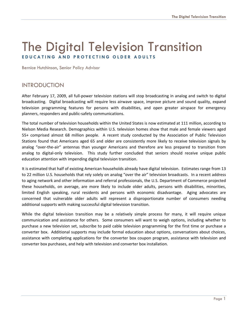## The Digital Television Transition **EDUCATING AND PROTECTING OLDER ADULTS**

Bernice Hutchinson, Senior Policy Advisor

## INTRODUCTION

After February 17, 2009, all full‐power television stations will stop broadcasting in analog and switch to digital broadcasting. Digital broadcasting will require less airwave space, improve picture and sound quality, expand television programming features for persons with disabilities, and open greater airspace for emergency planners, responders and public‐safety communications.

The total number of television households within the United States is now estimated at 111 million, according to Nielson Media Research. Demographics within U.S. television homes show that male and female viewers aged 55+ comprised almost 68 million people. A recent study conducted by the Association of Public Television Stations found that Americans aged 65 and older are consistently more likely to receive television signals by analog "over-the-air" antennas than younger Americans and therefore are less prepared to transition from analog to digital-only television. This study further concluded that seniors should receive unique public education attention with impending digital television transition.

It is estimated that half of existing American households already have digital television. Estimates range from 13 to 22 million U.S. households that rely solely on analog "over the air" television broadcasts. In a recent address to aging network and other information and referral professionals, the U.S. Department of Commerce projected these households, on average, are more likely to include older adults, persons with disabilities, minorities, limited English speaking, rural residents and persons with economic disadvantage. Aging advocates are concerned that vulnerable older adults will represent a disproportionate number of consumers needing additional supports with making successful digital television transition.

While the digital television transition may be a relatively simple process for many, it will require unique communication and assistance for others. Some consumers will want to weigh options, including whether to purchase a new television set, subscribe to paid cable television programming for the first time or purchase a converter box. Additional supports may include formal education about options, conversations about choices, assistance with completing applications for the converter box coupon program, assistance with television and converter box purchases, and help with television and converter box installation.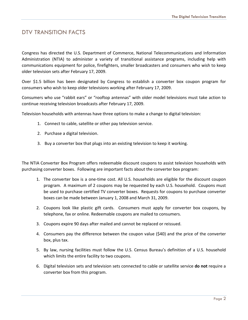## DTV TRANSITION FACTS

Congress has directed the U.S. Department of Commerce, National Telecommunications and Information Administration (NTIA) to administer a variety of transitional assistance programs, including help with communications equipment for police, firefighters, smaller broadcasters and consumers who wish to keep older television sets after February 17, 2009.

Over \$1.5 billion has been designated by Congress to establish a converter box coupon program for consumers who wish to keep older televisions working after February 17, 2009.

Consumers who use "rabbit ears" or "rooftop antennas" with older model televisions must take action to continue receiving television broadcasts after February 17, 2009.

Television households with antennas have three options to make a change to digital television:

- 1. Connect to cable, satellite or other pay television service.
- 2. Purchase a digital television.
- 3. Buy a converter box that plugs into an existing television to keep it working.

The NTIA Converter Box Program offers redeemable discount coupons to assist television households with purchasing converter boxes. Following are important facts about the converter box program:

- 1. The converter box is a one‐time cost. All U.S. households are eligible for the discount coupon program. A maximum of 2 coupons may be requested by each U.S. household. Coupons must be used to purchase certified TV converter boxes. Requests for coupons to purchase converter boxes can be made between January 1, 2008 and March 31, 2009.
- 2. Coupons look like plastic gift cards. Consumers must apply for converter box coupons, by telephone, fax or online. Redeemable coupons are mailed to consumers.
- 3. Coupons expire 90 days after mailed and cannot be replaced or reissued.
- 4. Consumers pay the difference between the coupon value (\$40) and the price of the converter box, plus tax.
- 5. By law, nursing facilities must follow the U.S. Census Bureau's definition of a U.S. household which limits the entire facility to two coupons.
- 6. Digital television sets and television sets connected to cable or satellite service **do not** require a converter box from this program.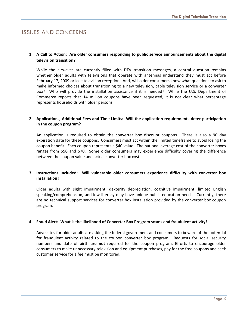## ISSUES AND CONCERNS

#### **1. A Call to Action: Are older consumers responding to public service announcements about the digital television transition?**

While the airwaves are currently filled with DTV transition messages, a central question remains whether older adults with televisions that operate with antennas understand they must act before February 17, 2009 or lose television reception. And, will older consumers know what questions to ask to make informed choices about transitioning to a new television, cable television service or a converter box? Who will provide the installation assistance if it is needed? While the U.S. Department of Commerce reports that 14 million coupons have been requested, it is not clear what percentage represents households with older persons.

#### **2. Applications, Additional Fees and Time Limits: Will the application requirements deter participation in the coupon program?**

An application is required to obtain the converter box discount coupons. There is also a 90 day expiration date for these coupons. Consumers must act within the limited timeframe to avoid losing the coupon benefit. Each coupon represents a \$40 value. The national average cost of the converter boxes ranges from \$50 and \$70. Some older consumers may experience difficulty covering the difference between the coupon value and actual converter box cost.

#### **3. Instructions Included: Will vulnerable older consumers experience difficulty with converter box installation?**

Older adults with sight impairment, dexterity depreciation, cognitive impairment, limited English speaking/comprehension, and low literacy may have unique public education needs. Currently, there are no technical support services for converter box installation provided by the converter box coupon program.

#### **4. Fraud Alert: What is the likelihood of Converter Box Program scams and fraudulent activity?**

Advocates for older adults are asking the federal government and consumers to beware of the potential for fraudulent activity related to the coupon converter box program. Requests for social security numbers and date of birth **are not** required for the coupon program. Efforts to encourage older consumers to make unnecessary television and equipment purchases, pay for the free coupons and seek customer service for a fee must be monitored.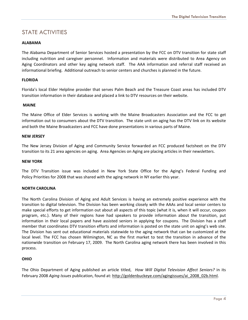## STATE ACTIVITIES

#### **ALABAMA**

The Alabama Department of Senior Services hosted a presentation by the FCC on DTV transition for state staff including nutrition and caregiver personnel. Information and materials were distributed to Area Agency on Aging Coordinators and other key aging network staff. The AAA information and referral staff received an informational briefing. Additional outreach to senior centers and churches is planned in the future.

#### **FLORIDA**

Florida's local Elder Helpline provider that serves Palm Beach and the Treasure Coast areas has included DTV transition information in their database and placed a link to DTV resources on their website.

#### **MAINE**

The Maine Office of Elder Services is working with the Maine Broadcasters Association and the FCC to get information out to consumers about the DTV transition. The state unit on aging has the DTV link on its website and both the Maine Broadcasters and FCC have done presentations in various parts of Maine.

#### **NEW JERSEY**

The New Jersey Division of Aging and Community Service forwarded an FCC produced factsheet on the DTV transition to its 21 area agencies on aging. Area Agencies on Aging are placing articles in their newsletters.

#### **NEW YORK**

The DTV Transition issue was included in New York State Office for the Aging's Federal Funding and Policy Priorities for 2008 that was shared with the aging network in NY earlier this year.

#### **NORTH CAROLINA**

The North Carolina Division of Aging and Adult Services is having an extremely positive experience with the transition to digital television. The Division has been working closely with the AAAs and local senior centers to make special efforts to get information out about all aspects of this topic (what it is, when it will occur, coupon program, etc.). Many of their regions have had speakers to provide information about the transition, put information in their local papers and have assisted seniors in applying for coupons. The Division has a staff member that coordinates DTV transition efforts and information is posted on the state unit on aging's web site. The Division has sent out educational materials statewide to the aging network that can be customized at the local level. The FCC has chosen Wilmington, NC as the first market to test the transition in advance of the nationwide transition on February 17, 2009. The North Carolina aging network there has been involved in this process.

#### **OHIO**

The Ohio Department of Aging published an article titled, *How Will Digital Television Affect Seniors?* in its February 2008 *Aging Issues* publication, found at: [http://goldenbuckeye.com/agingissues/ai\\_2008\\_02b.html.](http://goldenbuckeye.com/agingissues/ai_2008_02b.html)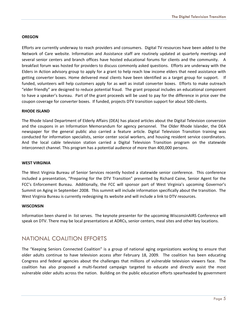#### **OREGON**

Efforts are currently underway to reach providers and consumers. Digital TV resources have been added to the Network of Care website. Information and Assistance staff are routinely updated at quarterly meetings and several senior centers and branch offices have hosted educational forums for clients and the community. A breakfast forum was hosted for providers to discuss commonly asked questions. Efforts are underway with the Elders in Action advisory group to apply for a grant to help reach low income elders that need assistance with getting converter boxes. Home delivered meal clients have been identified as a target group for support. If funded, volunteers will help customers apply for as well as install converter boxes. Efforts to make outreach "elder friendly" are designed to reduce potential fraud. The grant proposal includes an educational component to have a speaker's bureau. Part of the grant proceeds will be used to pay for the difference in price over the coupon coverage for converter boxes. If funded, projects DTV transition support for about 500 clients.

#### **RHODE ISLAND**

The Rhode Island Department of Elderly Affairs (DEA) has placed articles about the Digital Television conversion and the coupons in an Information Memorandum for agency personnel. The Older Rhode Islander, the DEA newspaper for the general public also carried a feature article. Digital Television Transition training was conducted for information specialists, senior center social workers, and housing resident service coordinators. And the local cable television station carried a Digital Television Transition program on the statewide interconnect channel. This program has a potential audience of more than 400,000 persons.

#### **WEST VIRGINIA**

The West Virginia Bureau of Senior Services recently hosted a statewide senior conference. This conference included a presentation, "Preparing for the DTV Transition" presented by Richard Caine, Senior Agent for the FCC's Enforcement Bureau. Additionally, the FCC will sponsor part of West Virginia's upcoming Governor's Summit on Aging in September 2008. This summit will include information specifically about the transition. The West Virginia Bureau is currently redesigning its website and will include a link to DTV resources.

#### **WISCONSIN**

Information been shared in list serves. The keynote presenter for the upcoming WisconsinAIRS Conference will speak on DTV. There may be local presentations at ADRCs, senior centers, meal sites and other key locations.

## NATIONAL COALITION EFFORTS

The "Keeping Seniors Connected Coalition" is a group of national aging organizations working to ensure that older adults continue to have television access after February 18, 2009. The coalition has been educating Congress and federal agencies about the challenges that millions of vulnerable television viewers face. The coalition has also proposed a multi-faceted campaign targeted to educate and directly assist the most vulnerable older adults across the nation. Building on the public education efforts spearheaded by government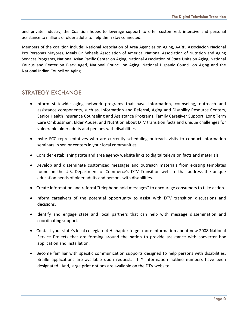and private industry, the Coalition hopes to leverage support to offer customized, intensive and personal assistance to millions of older adults to help them stay connected.

Members of the coalition include: National Association of Area Agencies on Aging, AARP, Associacion Nacional Pro Personas Mayores, Meals On Wheels Association of America, National Association of Nutrition and Aging Services Programs, National Asian Pacific Center on Aging, National Association of State Units on Aging, National Caucus and Center on Black Aged, National Council on Aging, National Hispanic Council on Aging and the National Indian Council on Aging.

## STRATEGY EXCHANGE

- Inform statewide aging network programs that have information, counseling, outreach and assistance components, such as, Information and Referral, Aging and Disability Resource Centers, Senior Health Insurance Counseling and Assistance Programs, Family Caregiver Support, Long Term Care Ombudsman, Elder Abuse, and Nutrition about DTV transition facts and unique challenges for vulnerable older adults and persons with disabilities.
- Invite FCC representatives who are currently scheduling outreach visits to conduct information seminars in senior centers in your local communities.
- Consider establishing state and area agency website links to digital television facts and materials.
- Develop and disseminate customized messages and outreach materials from existing templates found on the U.S. Department of Commerce's DTV Transition website that address the unique education needs of older adults and persons with disabilities.
- Create information and referral "telephone hold messages" to encourage consumers to take action.
- Inform caregivers of the potential opportunity to assist with DTV transition discussions and decisions.
- Identify and engage state and local partners that can help with message dissemination and coordinating support.
- Contact your state's local collegiate 4‐H chapter to get more information about new 2008 National Service Projects that are forming around the nation to provide assistance with converter box application and installation.
- Become familiar with specific communication supports designed to help persons with disabilities. Braille applications are available upon request. TTY information hotline numbers have been designated. And, large print options are available on the DTV website.